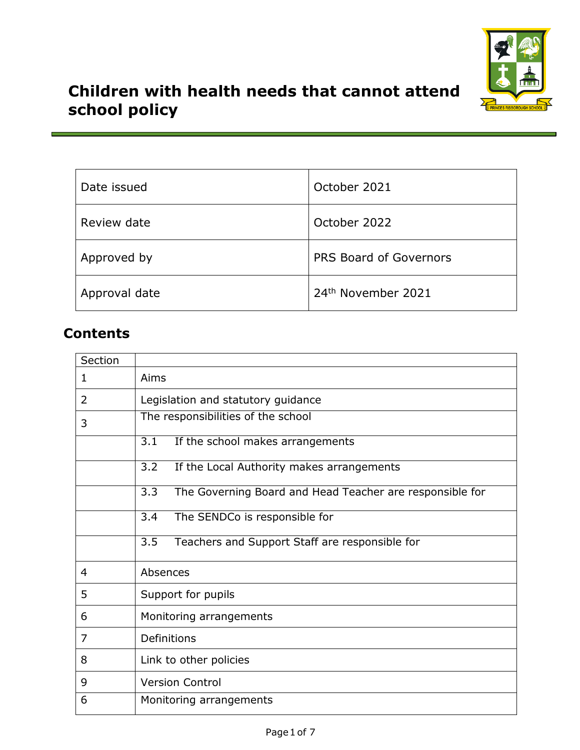

# **Children with health needs that cannot attend school policy**

| Date issued   | October 2021                   |
|---------------|--------------------------------|
| Review date   | October 2022                   |
| Approved by   | PRS Board of Governors         |
| Approval date | 24 <sup>th</sup> November 2021 |

## **Contents**

| Section |                                                                              |  |
|---------|------------------------------------------------------------------------------|--|
| 1       | Aims                                                                         |  |
| 2       | Legislation and statutory guidance                                           |  |
| 3       | The responsibilities of the school                                           |  |
|         | 3.1<br>If the school makes arrangements                                      |  |
|         | 3.2<br>If the Local Authority makes arrangements                             |  |
|         | $\overline{3.3}$<br>The Governing Board and Head Teacher are responsible for |  |
|         | 3.4<br>The SENDCo is responsible for                                         |  |
|         | 3.5<br>Teachers and Support Staff are responsible for                        |  |
| 4       | Absences                                                                     |  |
| 5       | Support for pupils                                                           |  |
| 6       | Monitoring arrangements                                                      |  |
| 7       | Definitions                                                                  |  |
| 8       | Link to other policies                                                       |  |
| 9       | <b>Version Control</b>                                                       |  |
| 6       | Monitoring arrangements                                                      |  |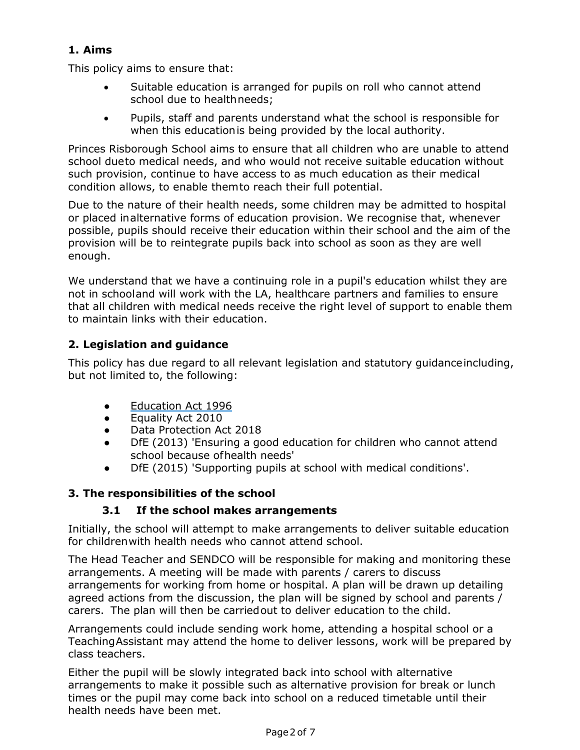## **1. Aims**

This policy aims to ensure that:

- Suitable education is arranged for pupils on roll who cannot attend school due to healthneeds;
- Pupils, staff and parents understand what the school is responsible for when this educationis being provided by the local authority.

Princes Risborough School aims to ensure that all children who are unable to attend school dueto medical needs, and who would not receive suitable education without such provision, continue to have access to as much education as their medical condition allows, to enable themto reach their full potential.

Due to the nature of their health needs, some children may be admitted to hospital or placed inalternative forms of education provision. We recognise that, whenever possible, pupils should receive their education within their school and the aim of the provision will be to reintegrate pupils back into school as soon as they are well enough.

We understand that we have a continuing role in a pupil's education whilst they are not in schooland will work with the LA, healthcare partners and families to ensure that all children with medical needs receive the right level of support to enable them to maintain links with their education.

## **2. Legislation and guidance**

This policy has due regard to all relevant legislation and statutory guidanceincluding, but not limited to, the following:

- [Education](http://www.legislation.gov.uk/ukpga/1996/56/section/19) Act 1996
- Equality Act 2010
- Data Protection Act 2018
- DfE (2013) 'Ensuring a good education for children who cannot attend school because ofhealth needs'
- DfE (2015) 'Supporting pupils at school with medical conditions'.

## **3. The responsibilities of the school**

## **3.1 If the school makes arrangements**

Initially, the school will attempt to make arrangements to deliver suitable education for childrenwith health needs who cannot attend school.

The Head Teacher and SENDCO will be responsible for making and monitoring these arrangements. A meeting will be made with parents / carers to discuss arrangements for working from home or hospital. A plan will be drawn up detailing agreed actions from the discussion, the plan will be signed by school and parents / carers. The plan will then be carriedout to deliver education to the child.

Arrangements could include sending work home, attending a hospital school or a TeachingAssistant may attend the home to deliver lessons, work will be prepared by class teachers.

Either the pupil will be slowly integrated back into school with alternative arrangements to make it possible such as alternative provision for break or lunch times or the pupil may come back into school on a reduced timetable until their health needs have been met.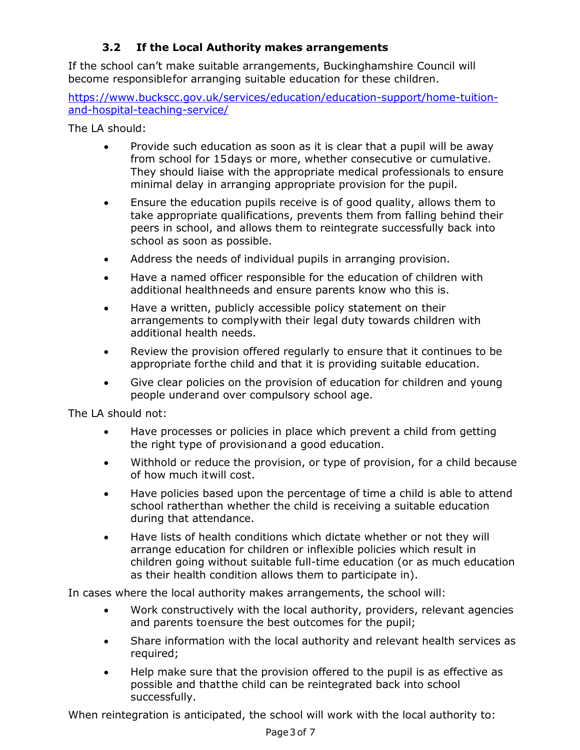## **3.2 If the Local Authority makes arrangements**

If the school can't make suitable arrangements, Buckinghamshire Council will become responsiblefor arranging suitable education for these children.

[https://www.buckscc.gov.uk/services/education/education-support/home-tuition](https://www.buckscc.gov.uk/services/education/education-support/home-tuition-and-hospital-teaching-service/)[and-hospital-teaching-service/](https://www.buckscc.gov.uk/services/education/education-support/home-tuition-and-hospital-teaching-service/)

The LA should:

- Provide such education as soon as it is clear that a pupil will be away from school for 15days or more, whether consecutive or cumulative. They should liaise with the appropriate medical professionals to ensure minimal delay in arranging appropriate provision for the pupil.
- Ensure the education pupils receive is of good quality, allows them to take appropriate qualifications, prevents them from falling behind their peers in school, and allows them to reintegrate successfully back into school as soon as possible.
- Address the needs of individual pupils in arranging provision.
- Have a named officer responsible for the education of children with additional healthneeds and ensure parents know who this is.
- Have a written, publicly accessible policy statement on their arrangements to complywith their legal duty towards children with additional health needs.
- Review the provision offered regularly to ensure that it continues to be appropriate forthe child and that it is providing suitable education.
- Give clear policies on the provision of education for children and young people underand over compulsory school age.

The LA should not:

- Have processes or policies in place which prevent a child from getting the right type of provisionand a good education.
- Withhold or reduce the provision, or type of provision, for a child because of how much itwill cost.
- Have policies based upon the percentage of time a child is able to attend school ratherthan whether the child is receiving a suitable education during that attendance.
- Have lists of health conditions which dictate whether or not they will arrange education for children or inflexible policies which result in children going without suitable full-time education (or as much education as their health condition allows them to participate in).

In cases where the local authority makes arrangements, the school will:

- Work constructively with the local authority, providers, relevant agencies and parents toensure the best outcomes for the pupil;
- Share information with the local authority and relevant health services as required;
- Help make sure that the provision offered to the pupil is as effective as possible and thatthe child can be reintegrated back into school successfully.

When reintegration is anticipated, the school will work with the local authority to: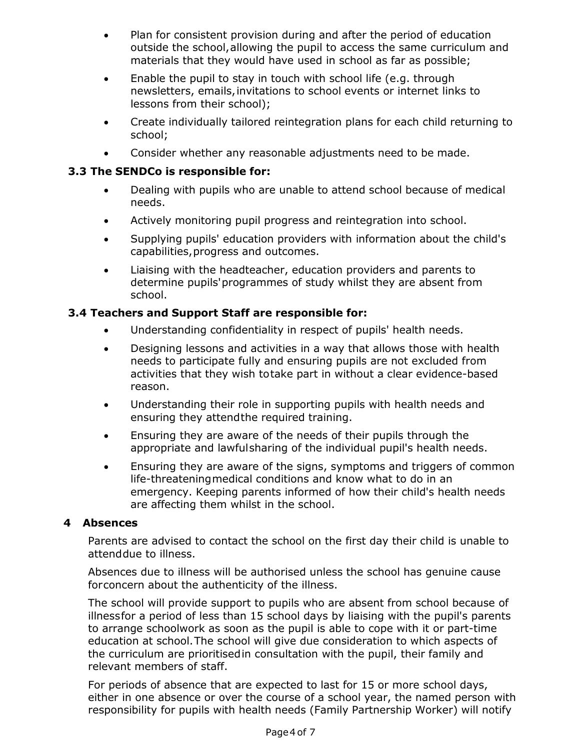- Plan for consistent provision during and after the period of education outside the school,allowing the pupil to access the same curriculum and materials that they would have used in school as far as possible;
- Enable the pupil to stay in touch with school life (e.g. through newsletters, emails,invitations to school events or internet links to lessons from their school);
- Create individually tailored reintegration plans for each child returning to school;
- Consider whether any reasonable adjustments need to be made.

#### **3.3 The SENDCo is responsible for:**

- Dealing with pupils who are unable to attend school because of medical needs.
- Actively monitoring pupil progress and reintegration into school.
- Supplying pupils' education providers with information about the child's capabilities,progress and outcomes.
- Liaising with the headteacher, education providers and parents to determine pupils'programmes of study whilst they are absent from school.

#### **3.4 Teachers and Support Staff are responsible for:**

- Understanding confidentiality in respect of pupils' health needs.
- Designing lessons and activities in a way that allows those with health needs to participate fully and ensuring pupils are not excluded from activities that they wish totake part in without a clear evidence-based reason.
- Understanding their role in supporting pupils with health needs and ensuring they attendthe required training.
- Ensuring they are aware of the needs of their pupils through the appropriate and lawfulsharing of the individual pupil's health needs.
- Ensuring they are aware of the signs, symptoms and triggers of common life-threateningmedical conditions and know what to do in an emergency. Keeping parents informed of how their child's health needs are affecting them whilst in the school.

#### **4 Absences**

Parents are advised to contact the school on the first day their child is unable to attenddue to illness.

Absences due to illness will be authorised unless the school has genuine cause forconcern about the authenticity of the illness.

The school will provide support to pupils who are absent from school because of illnessfor a period of less than 15 school days by liaising with the pupil's parents to arrange schoolwork as soon as the pupil is able to cope with it or part-time education at school.The school will give due consideration to which aspects of the curriculum are prioritisedin consultation with the pupil, their family and relevant members of staff.

For periods of absence that are expected to last for 15 or more school days, either in one absence or over the course of a school year, the named person with responsibility for pupils with health needs (Family Partnership Worker) will notify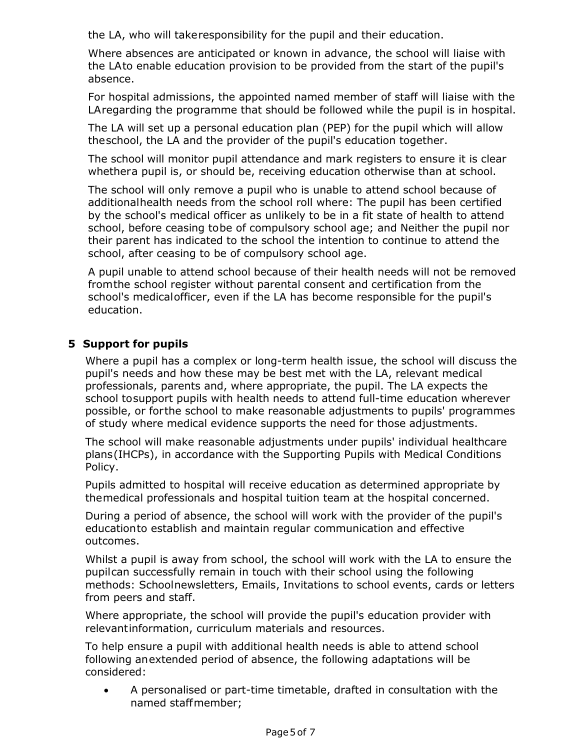the LA, who will takeresponsibility for the pupil and their education.

Where absences are anticipated or known in advance, the school will liaise with the LAto enable education provision to be provided from the start of the pupil's absence.

For hospital admissions, the appointed named member of staff will liaise with the LAregarding the programme that should be followed while the pupil is in hospital.

The LA will set up a personal education plan (PEP) for the pupil which will allow theschool, the LA and the provider of the pupil's education together.

The school will monitor pupil attendance and mark registers to ensure it is clear whethera pupil is, or should be, receiving education otherwise than at school.

The school will only remove a pupil who is unable to attend school because of additionalhealth needs from the school roll where: The pupil has been certified by the school's medical officer as unlikely to be in a fit state of health to attend school, before ceasing tobe of compulsory school age; and Neither the pupil nor their parent has indicated to the school the intention to continue to attend the school, after ceasing to be of compulsory school age.

A pupil unable to attend school because of their health needs will not be removed fromthe school register without parental consent and certification from the school's medicalofficer, even if the LA has become responsible for the pupil's education.

#### **5 Support for pupils**

Where a pupil has a complex or long-term health issue, the school will discuss the pupil's needs and how these may be best met with the LA, relevant medical professionals, parents and, where appropriate, the pupil. The LA expects the school tosupport pupils with health needs to attend full-time education wherever possible, or forthe school to make reasonable adjustments to pupils' programmes of study where medical evidence supports the need for those adjustments.

The school will make reasonable adjustments under pupils' individual healthcare plans(IHCPs), in accordance with the Supporting Pupils with Medical Conditions Policy.

Pupils admitted to hospital will receive education as determined appropriate by themedical professionals and hospital tuition team at the hospital concerned.

During a period of absence, the school will work with the provider of the pupil's educationto establish and maintain regular communication and effective outcomes.

Whilst a pupil is away from school, the school will work with the LA to ensure the pupilcan successfully remain in touch with their school using the following methods: Schoolnewsletters, Emails, Invitations to school events, cards or letters from peers and staff.

Where appropriate, the school will provide the pupil's education provider with relevantinformation, curriculum materials and resources.

To help ensure a pupil with additional health needs is able to attend school following anextended period of absence, the following adaptations will be considered:

 A personalised or part-time timetable, drafted in consultation with the named staffmember;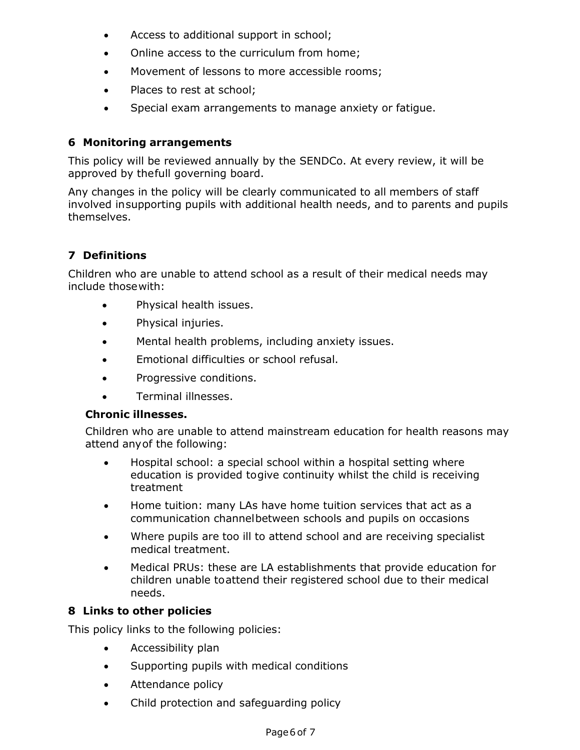- Access to additional support in school;
- Online access to the curriculum from home;
- Movement of lessons to more accessible rooms;
- Places to rest at school:
- Special exam arrangements to manage anxiety or fatigue.

#### **6 Monitoring arrangements**

This policy will be reviewed annually by the SENDCo. At every review, it will be approved by thefull governing board.

Any changes in the policy will be clearly communicated to all members of staff involved insupporting pupils with additional health needs, and to parents and pupils themselves.

## **7 Definitions**

Children who are unable to attend school as a result of their medical needs may include thosewith:

- Physical health issues.
- Physical injuries.
- Mental health problems, including anxiety issues.
- Emotional difficulties or school refusal.
- Progressive conditions.
- Terminal illnesses.

#### **Chronic illnesses.**

Children who are unable to attend mainstream education for health reasons may attend anyof the following:

- Hospital school: a special school within a hospital setting where education is provided togive continuity whilst the child is receiving treatment
- Home tuition: many LAs have home tuition services that act as a communication channelbetween schools and pupils on occasions
- Where pupils are too ill to attend school and are receiving specialist medical treatment.
- Medical PRUs: these are LA establishments that provide education for children unable toattend their registered school due to their medical needs.

#### **8 Links to other policies**

This policy links to the following policies:

- Accessibility plan
- Supporting pupils with medical conditions
- Attendance policy
- Child protection and safeguarding policy